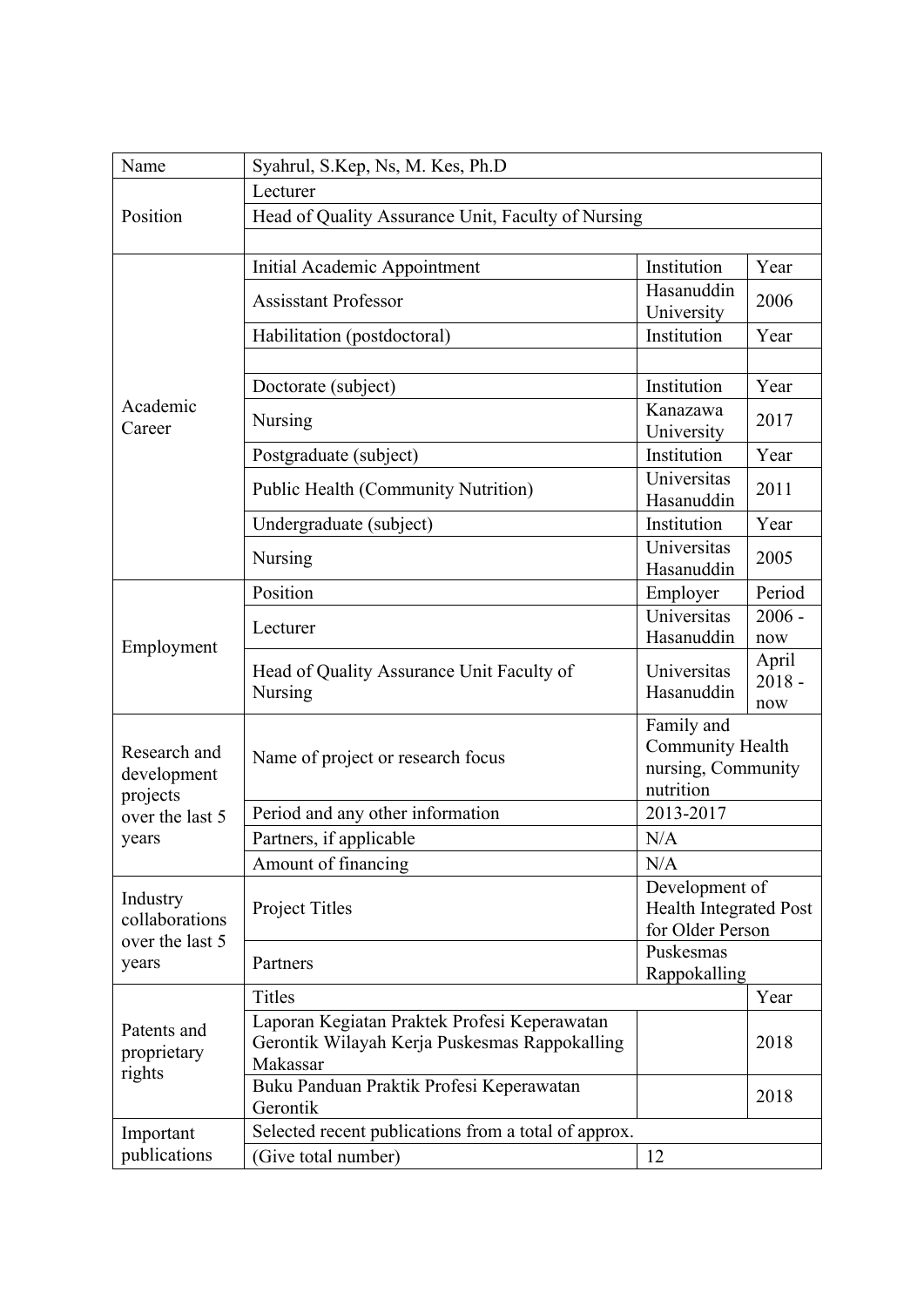| Name                                                                | Syahrul, S.Kep, Ns, M. Kes, Ph.D                                                                          |                                                                     |                          |  |
|---------------------------------------------------------------------|-----------------------------------------------------------------------------------------------------------|---------------------------------------------------------------------|--------------------------|--|
|                                                                     | Lecturer                                                                                                  |                                                                     |                          |  |
| Position                                                            | Head of Quality Assurance Unit, Faculty of Nursing                                                        |                                                                     |                          |  |
|                                                                     |                                                                                                           |                                                                     |                          |  |
| Academic<br>Career                                                  | <b>Initial Academic Appointment</b>                                                                       | Institution                                                         | Year                     |  |
|                                                                     | <b>Assisstant Professor</b>                                                                               | Hasanuddin<br>University                                            | 2006                     |  |
|                                                                     | Habilitation (postdoctoral)                                                                               | Institution                                                         | Year                     |  |
|                                                                     |                                                                                                           |                                                                     |                          |  |
|                                                                     | Doctorate (subject)                                                                                       | Institution                                                         | Year                     |  |
|                                                                     | <b>Nursing</b>                                                                                            | Kanazawa<br>University                                              | 2017                     |  |
|                                                                     | Postgraduate (subject)                                                                                    | Institution                                                         | Year                     |  |
|                                                                     | <b>Public Health (Community Nutrition)</b>                                                                | Universitas<br>Hasanuddin                                           | 2011                     |  |
|                                                                     | Undergraduate (subject)                                                                                   | Institution                                                         | Year                     |  |
|                                                                     | Nursing                                                                                                   | Universitas<br>Hasanuddin                                           | 2005                     |  |
| Employment                                                          | Position                                                                                                  | Employer                                                            | Period                   |  |
|                                                                     | Lecturer                                                                                                  | Universitas<br>Hasanuddin                                           | $2006 -$<br>now          |  |
|                                                                     | Head of Quality Assurance Unit Faculty of<br>Nursing                                                      | Universitas<br>Hasanuddin                                           | April<br>$2018 -$<br>now |  |
| Research and<br>development<br>projects<br>over the last 5<br>years | Name of project or research focus                                                                         | Family and<br>Community Health<br>nursing, Community<br>nutrition   |                          |  |
|                                                                     | Period and any other information                                                                          | 2013-2017                                                           |                          |  |
|                                                                     | Partners, if applicable                                                                                   | N/A                                                                 |                          |  |
|                                                                     | Amount of financing                                                                                       | N/A                                                                 |                          |  |
| Industry<br>collaborations<br>over the last 5<br>years              | Project Titles                                                                                            | Development of<br><b>Health Integrated Post</b><br>for Older Person |                          |  |
|                                                                     | Partners                                                                                                  | Puskesmas<br>Rappokalling                                           |                          |  |
| Patents and<br>proprietary<br>rights                                | <b>Titles</b>                                                                                             |                                                                     | Year                     |  |
|                                                                     | Laporan Kegiatan Praktek Profesi Keperawatan<br>Gerontik Wilayah Kerja Puskesmas Rappokalling<br>Makassar |                                                                     | 2018                     |  |
|                                                                     | Buku Panduan Praktik Profesi Keperawatan<br>Gerontik                                                      |                                                                     | 2018                     |  |
| Important                                                           | Selected recent publications from a total of approx.                                                      |                                                                     |                          |  |
| publications                                                        | (Give total number)                                                                                       | 12                                                                  |                          |  |